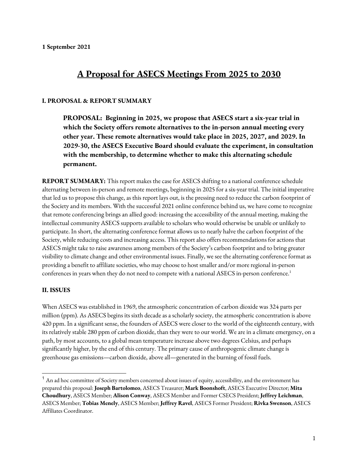# **A Proposal for ASECS Meetings From 2025 to 2030**

#### **I. PROPOSAL & REPORT SUMMARY**

**PROPOSAL: Beginning in 2025, we propose that ASECS start a six-year trial in which the Society offers remote alternatives to the in-person annual meeting every other year. These remote alternatives would take place in 2025, 2027, and 2029. In 2029-30, the ASECS Executive Board should evaluate the experiment, in consultation with the membership, to determine whether to make this alternating schedule permanent.**

**REPORT SUMMARY:** This report makes the case for ASECS shifting to a national conference schedule alternating between in-person and remote meetings, beginning in 2025 for a six-year trial. The initial imperative that led us to propose this change, as this report lays out, is the pressing need to reduce the carbon footprint of the Society and its members. With the successful 2021 online conference behind us, we have come to recognize that remote conferencing brings an allied good: increasing the accessibility of the annual meeting, making the intellectual community ASECS supports available to scholars who would otherwise be unable or unlikely to participate. In short, the alternating conference format allows us to nearly halve the carbon footprint of the Society, while reducing costs and increasing access. This report also offers recommendations for actions that ASECS might take to raise awareness among members of the Society's carbon footprint and to bring greater visibility to climate change and other environmental issues. Finally, we see the alternating conference format as providing a benefit to affiliate societies, who may choose to host smaller and/or more regional in-person conferences in years when they do not need to compete with a national ASECS in-person conference.<sup>1</sup>

#### **II. ISSUES**

When ASECS was established in 1969, the atmospheric concentration of carbon dioxide was 324 parts per million (ppm). As ASECS begins its sixth decade as a scholarly society, the atmospheric concentration is above 420 ppm. In a significant sense, the founders of ASECS were closer to the world of the eighteenth century, with its relatively stable 280 ppm of carbon dioxide, than they were to our world. We are in a climate emergency, on a path, by most accounts, to a global mean temperature increase above two degrees Celsius, and perhaps significantly higher, by the end of this century. The primary cause of anthropogenic climate change is greenhouse gas emissions—carbon dioxide, above all—generated in the burning of fossil fuels.

 $^{\rm 1}$  An ad hoc committee of Society members concerned about issues of equity, accessibility, and the environment has prepared this proposal: **Joseph Bartolomeo**, ASECS Treasurer; **Mark Boonshoft**, ASECS Executive Director; **Mita Choudhury**, ASECS Member; **Alison Conway**, ASECS Member and Former CSECS President; **Jeffrey Leichman**, ASECS Member; **Tobias Menely**, ASECS Member; **Jeffrey Ravel**, ASECS Former President; **Rivka Swenson**, ASECS Affiliates Coordinator.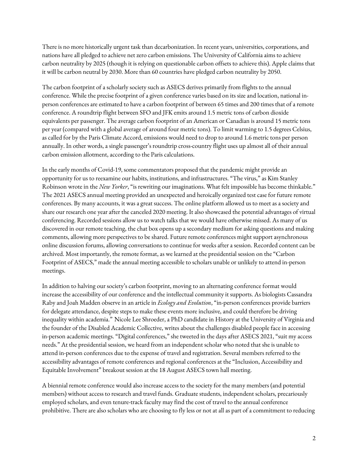There is no more historically urgent task than decarbonization. In recent years, universities, corporations, and nations have all pledged to achieve net zero carbon emissions. The University of California aims to achieve carbon neutrality by 2025 (though it is relying on questionable carbon offsets to achieve this). Apple claims that it will be carbon neutral by 2030. More than 60 countries have pledged carbon neutrality by 2050.

The carbon footprint of a scholarly society such as ASECS derives primarily from flights to the annual conference. While the precise footprint of a given conference varies based on its size and location, national inperson conferences are estimated to have a carbon footprint of between 65 times and 200 times that of a remote conference. A roundtrip flight between SFO and JFK emits around 1.5 metric tons of carbon dioxide equivalents per passenger. The average carbon footprint of an American or Canadian is around 15 metric tons per year (compared with a global average of around four metric tons). To limit warming to 1.5 degrees Celsius, as called for by the Paris Climate Accord, emissions would need to drop to around 1.6 metric tons per person annually. In other words, a single passenger's roundtrip cross-country flight uses up almost all of their annual carbon emission allotment, according to the Paris calculations.

In the early months of Covid-19, some commentators proposed that the pandemic might provide an opportunity for us to reexamine our habits, institutions, and infrastructures. "The virus," as Kim Stanley Robinson wrote in the *New Yorker*, "is rewriting our imaginations. What felt impossible has become thinkable." The 2021 ASECS annual meeting provided an unexpected and heroically organized test case for future remote conferences. By many accounts, it was a great success. The online platform allowed us to meet as a society and share our research one year after the canceled 2020 meeting. It also showcased the potential advantages of virtual conferencing. Recorded sessions allow us to watch talks that we would have otherwise missed. As many of us discovered in our remote teaching, the chat box opens up a secondary medium for asking questions and making comments, allowing more perspectives to be shared. Future remote conferences might support asynchronous online discussion forums, allowing conversations to continue for weeks after a session. Recorded content can be archived. Most importantly, the remote format, as we learned at the presidential session on the "Carbon Footprint of ASECS," made the annual meeting accessible to scholars unable or unlikely to attend in-person meetings.

In addition to halving our society's carbon footprint, moving to an alternating conference format would increase the accessibility of our conference and the intellectual community it supports. As biologists Cassandra Raby and Joah Madden observe in an article in *Ecology and Evolution*, "in-person conferences provide barriers for delegate attendance, despite steps to make these events more inclusive, and could therefore be driving inequality within academia." Nicole Lee Shroeder, a PhD candidate in History at the University of Virginia and the founder of the Disabled Academic Collective, writes about the challenges disabled people face in accessing in-person academic meetings. "Digital conferences," she tweeted in the days after ASECS 2021, "suit my access needs." At the presidential session, we heard from an independent scholar who noted that she is unable to attend in-person conferences due to the expense of travel and registration. Several members referred to the accessibility advantages of remote conferences and regional conferences at the "Inclusion, Accessibility and Equitable Involvement" breakout session at the 18 August ASECS town hall meeting.

A biennial remote conference would also increase access to the society for the many members (and potential members) without access to research and travel funds. Graduate students, independent scholars, precariously employed scholars, and even tenure-track faculty may find the cost of travel to the annual conference prohibitive. There are also scholars who are choosing to fly less or not at all as part of a commitment to reducing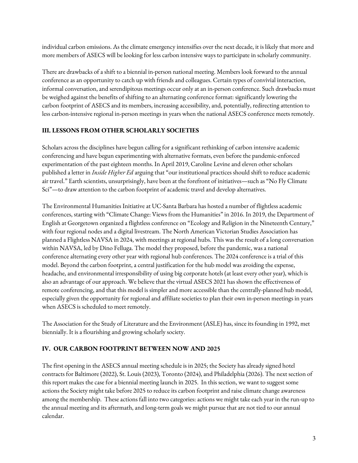individual carbon emissions. As the climate emergency intensifies over the next decade, it is likely that more and more members of ASECS will be looking for less carbon intensive ways to participate in scholarly community.

There are drawbacks of a shift to a biennial in-person national meeting. Members look forward to the annual conference as an opportunity to catch up with friends and colleagues. Certain types of convivial interaction, informal conversation, and serendipitous meetings occur only at an in-person conference. Such drawbacks must be weighed against the benefits of shifting to an alternating conference format: significantly lowering the carbon footprint of ASECS and its members, increasing accessibility, and, potentially, redirecting attention to less carbon-intensive regional in-person meetings in years when the national ASECS conference meets remotely.

### **III. LESSONS FROM OTHER SCHOLARLY SOCIETIES**

Scholars across the disciplines have begun calling for a significant rethinking of carbon intensive academic conferencing and have begun experimenting with alternative formats, even before the pandemic-enforced experimentation of the past eighteen months. In April 2019, Caroline Levine and eleven other scholars published a letter in *Inside Higher Ed* arguing that "our institutional practices should shift to reduce academic air travel." Earth scientists, unsurprisingly, have been at the forefront of initiatives—such as "No Fly Climate Sci"—to draw attention to the carbon footprint of academic travel and develop alternatives.

The Environmental Humanities Initiative at UC-Santa Barbara has hosted a number of flightless academic conferences, starting with "Climate Change: Views from the Humanities" in 2016. In 2019, the Department of English at Georgetown organized a flightless conference on "Ecology and Religion in the Nineteenth Century," with four regional nodes and a digital livestream. The North American Victorian Studies Association has planned a Flightless NAVSA in 2024, with meetings at regional hubs. This was the result of a long conversation within NAVSA, led by Dino Felluga. The model they proposed, before the pandemic, was a national conference alternating every other year with regional hub conferences. The 2024 conference is a trial of this model. Beyond the carbon footprint, a central justification for the hub model was avoiding the expense, headache, and environmental irresponsibility of using big corporate hotels (at least every other year), which is also an advantage of our approach. We believe that the virtual ASECS 2021 has shown the effectiveness of remote conferencing, and that this model is simpler and more accessible than the centrally-planned hub model, especially given the opportunity for regional and affiliate societies to plan their own in-person meetings in years when ASECS is scheduled to meet remotely.

The Association for the Study of Literature and the Environment (ASLE) has, since its founding in 1992, met biennially. It is a flourishing and growing scholarly society.

### **IV. OUR CARBON FOOTPRINT BETWEEN NOW AND 2025**

The first opening in the ASECS annual meeting schedule is in 2025; the Society has already signed hotel contracts for Baltimore (2022), St. Louis (2023), Toronto (2024), and Philadelphia (2026). The next section of this report makes the case for a biennial meeting launch in 2025. In this section, we want to suggest some actions the Society might take before 2025 to reduce its carbon footprint and raise climate change awareness among the membership. These actions fall into two categories: actions we might take each year in the run-up to the annual meeting and its aftermath, and long-term goals we might pursue that are not tied to our annual calendar.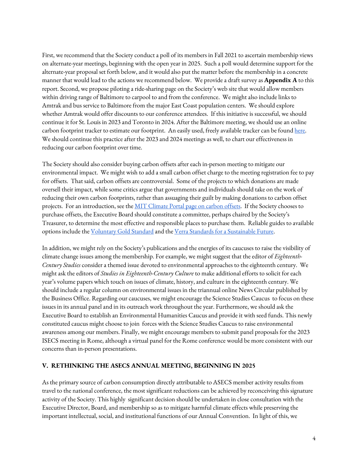First, we recommend that the Society conduct a poll of its members in Fall 2021 to ascertain membership views on alternate-year meetings, beginning with the open year in 2025. Such a poll would determine support for the alternate-year proposal set forth below, and it would also put the matter before the membership in a concrete manner that would lead to the actions we recommend below. We provide a draft survey as **Appendix A** to this report. Second, we propose piloting a ride-sharing page on the Society's web site that would allow members within driving range of Baltimore to carpool to and from the conference. We might also include links to Amtrak and bus service to Baltimore from the major East Coast population centers. We should explore whether Amtrak would offer discounts to our conference attendees. If this initiative is successful, we should continue it for St. Louis in 2023 and Toronto in 2024. After the Baltimore meeting, we should use an online carbon footprint tracker to estimate our footprint. An easily used, freely available tracker can be found here. We should continue this practice after the 2023 and 2024 meetings as well, to chart our effectiveness in reducing our carbon footprint over time.

The Society should also consider buying carbon offsets after each in-person meeting to mitigate our environmental impact. We might wish to add a small carbon offset charge to the meeting registration fee to pay for offsets. That said, carbon offsets are controversial. Some of the projects to which donations are made oversell their impact, while some critics argue that governments and individuals should take on the work of reducing their own carbon footprints, rather than assuaging their guilt by making donations to carbon offset projects. For an introduction, see the MIT Climate Portal page on carbon offsets. If the Society chooses to purchase offsets, the Executive Board should constitute a committee, perhaps chaired by the Society's Treasurer, to determine the most effective and responsible places to purchase them. Reliable guides to available options include the Voluntary Gold Standard and the Verra Standards for a Sustainable Future.

In addition, we might rely on the Society's publications and the energies of its caucuses to raise the visibility of climate change issues among the membership. For example, we might suggest that the editor of *Eighteenth-Century Studies* consider a themed issue devoted to environmental approaches to the eighteenth century. We might ask the editors of *Studies in Eighteenth-Century Culture* to make additional efforts to solicit for each year's volume papers which touch on issues of climate, history, and culture in the eighteenth century. We should include a regular column on environmental issues in the triannual online News Circular published by the Business Office. Regarding our caucuses, we might encourage the Science Studies Caucus to focus on these issues in its annual panel and in its outreach work throughout the year. Furthermore, we should ask the Executive Board to establish an Environmental Humanities Caucus and provide it with seed funds. This newly constituted caucus might choose to join forces with the Science Studies Caucus to raise environmental awareness among our members. Finally, we might encourage members to submit panel proposals for the 2023 ISECS meeting in Rome, although a virtual panel for the Rome conference would be more consistent with our concerns than in-person presentations.

#### **V. RETHINKING THE ASECS ANNUAL MEETING, BEGINNING IN 2025**

As the primary source of carbon consumption directly attributable to ASECS member activity results from travel to the national conference, the most significant reductions can be achieved by reconceiving this signature activity of the Society. This highly significant decision should be undertaken in close consultation with the Executive Director, Board, and membership so as to mitigate harmful climate effects while preserving the important intellectual, social, and institutional functions of our Annual Convention. In light of this, we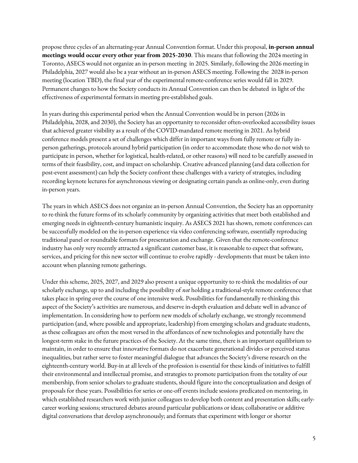propose three cycles of an alternating-year Annual Convention format. Under this proposal, **in-person annual meetings would occur every other year from 2025-2030**. This means that following the 2024 meeting in Toronto, ASECS would not organize an in-person meeting in 2025. Similarly, following the 2026 meeting in Philadelphia, 2027 would also be a year without an in-person ASECS meeting. Following the 2028 in-person meeting (location TBD), the final year of the experimental remote-conference series would fall in 2029. Permanent changes to how the Society conducts its Annual Convention can then be debated in light of the effectiveness of experimental formats in meeting pre-established goals.

In years during this experimental period when the Annual Convention would be in person (2026 in Philadelphia, 2028, and 2030), the Society has an opportunity to reconsider often-overlooked accessibility issues that achieved greater visibility as a result of the COVID-mandated remote meeting in 2021. As hybrid conference models present a set of challenges which differ in important ways from fully remote or fully inperson gatherings, protocols around hybrid participation (in order to accommodate those who do not wish to participate in person, whether for logistical, health-related, or other reasons) will need to be carefully assessed in terms of their feasibility, cost, and impact on scholarship. Creative advanced planning (and data collection for post-event assessment) can help the Society confront these challenges with a variety of strategies, including recording keynote lectures for asynchronous viewing or designating certain panels as online-only, even during in-person years.

The years in which ASECS does not organize an in-person Annual Convention, the Society has an opportunity to re-think the future forms of its scholarly community by organizing activities that meet both established and emerging needs in eighteenth-century humanistic inquiry. As ASECS 2021 has shown, remote conferences can be successfully modeled on the in-person experience via video conferencing software, essentially reproducing traditional panel or roundtable formats for presentation and exchange. Given that the remote-conference industry has only very recently attracted a significant customer base, it is reasonable to expect that software, services, and pricing for this new sector will continue to evolve rapidly - developments that must be taken into account when planning remote gatherings.

Under this scheme, 2025, 2027, and 2029 also present a unique opportunity to re-think the modalities of our scholarly exchange, up to and including the possibility of *not* holding a traditional-style remote conference that takes place in spring over the course of one intensive week. Possibilities for fundamentally re-thinking this aspect of the Society's activities are numerous, and deserve in-depth evaluation and debate well in advance of implementation. In considering how to perform new models of scholarly exchange, we strongly recommend participation (and, where possible and appropriate, leadership) from emerging scholars and graduate students, as these colleagues are often the most versed in the affordances of new technologies and potentially have the longest-term stake in the future practices of the Society. At the same time, there is an important equilibrium to maintain, in order to ensure that innovative formats do not exacerbate generational divides or perceived status inequalities, but rather serve to foster meaningful dialogue that advances the Society's diverse research on the eighteenth-century world. Buy-in at all levels of the profession is essential for these kinds of initiatives to fulfill their environmental and intellectual promise, and strategies to promote participation from the totality of our membership, from senior scholars to graduate students, should figure into the conceptualization and design of proposals for these years. Possibilities for series or one-off events include sessions predicated on mentoring, in which established researchers work with junior colleagues to develop both content and presentation skills; earlycareer working sessions; structured debates around particular publications or ideas; collaborative or additive digital conversations that develop asynchronously; and formats that experiment with longer or shorter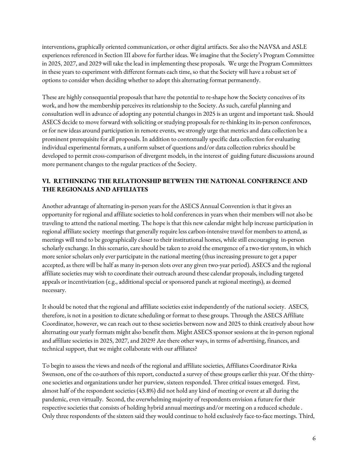interventions, graphically oriented communication, or other digital artifacts. See also the NAVSA and ASLE experiences referenced in Section III above for further ideas. We imagine that the Society's Program Committee in 2025, 2027, and 2029 will take the lead in implementing these proposals. We urge the Program Committees in these years to experiment with different formats each time, so that the Society will have a robust set of options to consider when deciding whether to adopt this alternating format permanently.

These are highly consequential proposals that have the potential to re-shape how the Society conceives of its work, and how the membership perceives its relationship to the Society. As such, careful planning and consultation well in advance of adopting any potential changes in 2025 is an urgent and important task. Should ASECS decide to move forward with soliciting or studying proposals for re-thinking its in-person conferences, or for new ideas around participation in remote events, we strongly urge that metrics and data collection be a prominent prerequisite for all proposals. In addition to contextually specific data collection for evaluating individual experimental formats, a uniform subset of questions and/or data collection rubrics should be developed to permit cross-comparison of divergent models, in the interest of guiding future discussions around more permanent changes to the regular practices of the Society.

### **VI. RETHINKING THE RELATIONSHIP BETWEEN THE NATIONAL CONFERENCE AND THE REGIONALS AND AFFILIATES**

Another advantage of alternating in-person years for the ASECS Annual Convention is that it gives an opportunity for regional and affiliate societies to hold conferences in years when their members will not also be traveling to attend the national meeting. The hope is that this new calendar might help increase participation in regional affiliate society meetings that generally require less carbon-intensive travel for members to attend, as meetings will tend to be geographically closer to their institutional homes, while still encouraging in-person scholarly exchange. In this scenario, care should be taken to avoid the emergence of a two-tier system, in which more senior scholars only ever participate in the national meeting (thus increasing pressure to get a paper accepted, as there will be half as many in-person slots over any given two-year period). ASECS and the regional affiliate societies may wish to coordinate their outreach around these calendar proposals, including targeted appeals or incentivization (e.g., additional special or sponsored panels at regional meetings), as deemed necessary.

It should be noted that the regional and affiliate societies exist independently of the national society. ASECS, therefore, is not in a position to dictate scheduling or format to these groups. Through the ASECS Affiliate Coordinator, however, we can reach out to these societies between now and 2025 to think creatively about how alternating our yearly formats might also benefit them. Might ASECS sponsor sessions at the in-person regional and affiliate societies in 2025, 2027, and 2029? Are there other ways, in terms of advertising, finances, and technical support, that we might collaborate with our affiliates?

To begin to assess the views and needs of the regional and affiliate societies, Affiliates Coordinator Rivka Swenson, one of the co-authors of this report, conducted a survey of these groups earlier this year. Of the thirtyone societies and organizations under her purview, sixteen responded. Three critical issues emerged. First, almost half of the respondent societies (43.8%) did not hold any kind of meeting or event at all during the pandemic, even virtually. Second, the overwhelming majority of respondents envision a future for their respective societies that consists of holding hybrid annual meetings and/or meeting on a reduced schedule . Only three respondents of the sixteen said they would continue to hold exclusively face-to-face meetings. Third,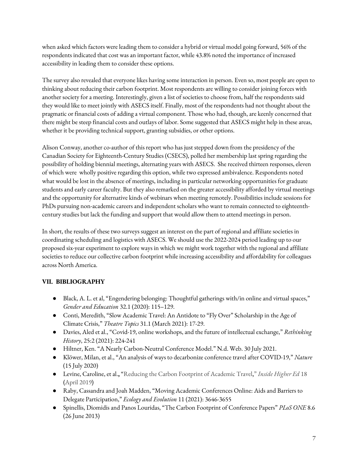when asked which factors were leading them to consider a hybrid or virtual model going forward, 56% of the respondents indicated that cost was an important factor, while 43.8% noted the importance of increased accessibility in leading them to consider these options.

The survey also revealed that everyone likes having some interaction in person. Even so, most people are open to thinking about reducing their carbon footprint. Most respondents are willing to consider joining forces with another society for a meeting. Interestingly, given a list of societies to choose from, half the respondents said they would like to meet jointly with ASECS itself. Finally, most of the respondents had not thought about the pragmatic or financial costs of adding a virtual component. Those who had, though, are keenly concerned that there might be steep financial costs and outlays of labor. Some suggested that ASECS might help in these areas, whether it be providing technical support, granting subsidies, or other options.

Alison Conway, another co-author of this report who has just stepped down from the presidency of the Canadian Society for Eighteenth-Century Studies (CSECS), polled her membership last spring regarding the possibility of holding biennial meetings, alternating years with ASECS. She received thirteen responses, eleven of which were wholly positive regarding this option, while two expressed ambivalence. Respondents noted what would be lost in the absence of meetings, including in particular networking opportunities for graduate students and early career faculty. But they also remarked on the greater accessibility afforded by virtual meetings and the opportunity for alternative kinds of webinars when meeting remotely. Possibilities include sessions for PhDs pursuing non-academic careers and independent scholars who want to remain connected to eighteenthcentury studies but lack the funding and support that would allow them to attend meetings in person.

In short, the results of these two surveys suggest an interest on the part of regional and affiliate societies in coordinating scheduling and logistics with ASECS. We should use the 2022-2024 period leading up to our proposed six-year experiment to explore ways in which we might work together with the regional and affiliate societies to reduce our collective carbon footprint while increasing accessibility and affordability for colleagues across North America.

## **VII. BIBLIOGRAPHY**

- Black, A. L. et al, "Engendering belonging: Thoughtful gatherings with/in online and virtual spaces," *Gender and Education* 32.1 (2020): 115–129.
- Conti, Meredith, "Slow Academic Travel: An Antidote to "Fly Over" Scholarship in the Age of Climate Crisis," *Theatre Topics* 31.1 (March 2021): 17-29.
- Davies, Aled et al., "Covid-19, online workshops, and the future of intellectual exchange," *Rethinking History*, 25:2 (2021): 224-241
- Hiltner, Ken. "A Nearly Carbon-Neutral Conference Model." N.d. Web. 30 July 2021.
- Klöwer, Milan, et al., "An analysis of ways to decarbonize conference travel after COVID-19," *Nature* (15 July 2020)
- Levine, Caroline, etal.**,** "Reducing the Carbon Footprint of Academic Travel**,**" *Inside Higher Ed* 18 **(**April 2019**)**
- Raby, Cassandra and Joah Madden, "Moving Academic Conferences Online: Aids and Barriers to Delegate Participation," *Ecology and Evolution* 11 (2021): 3646-3655
- Spinellis, Diomidis and Panos Louridas, "The Carbon Footprint of Conference Papers" *PLoS ONE* 8.6 (26 June 2013)